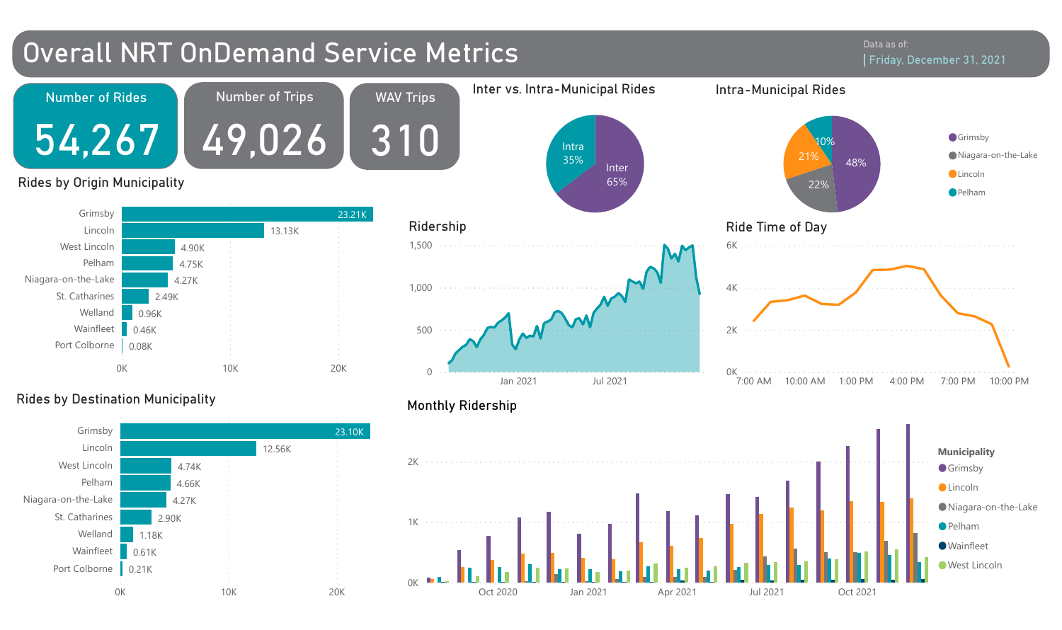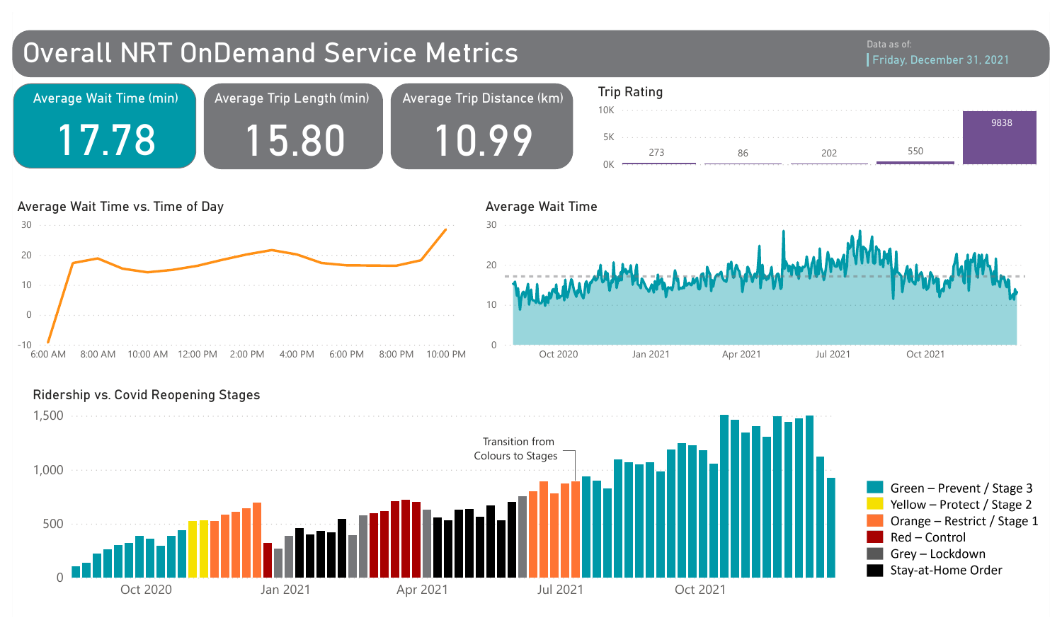

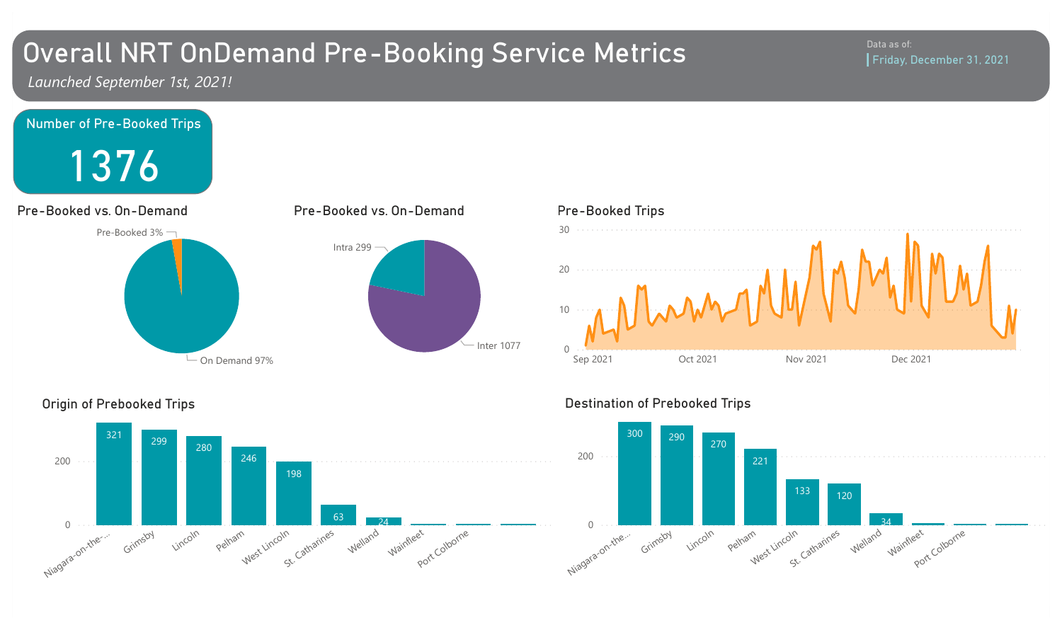# Overall NRT OnDemand Pre-Booking Service Metrics

*Launched September 1st, 2021!*





### Origin of Prebooked Trips

# Destination of Prebooked Trips



#### Data as of: Friday, December 31, 2021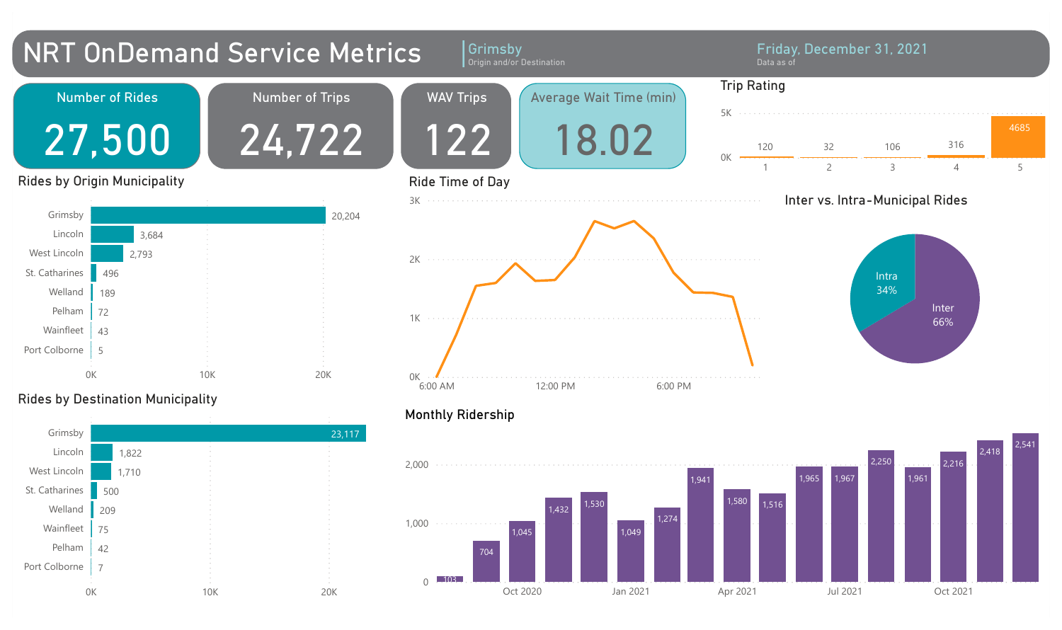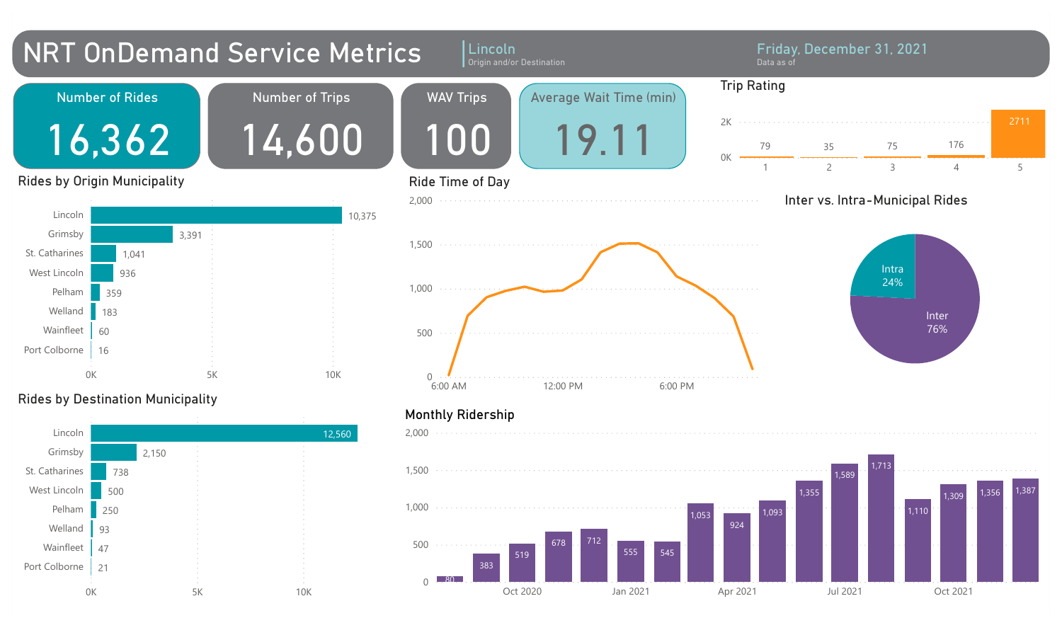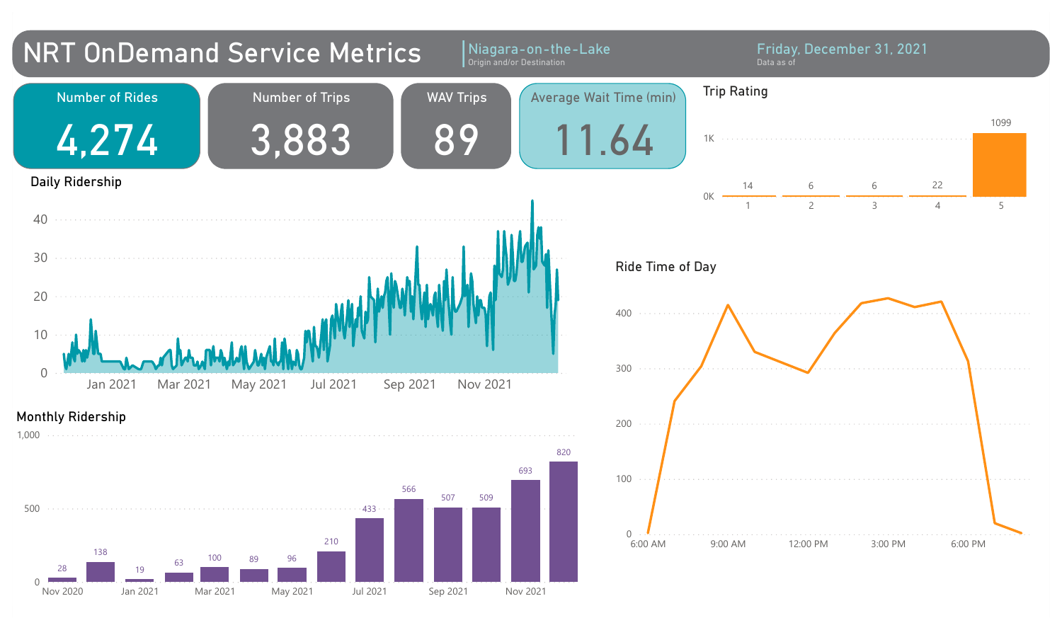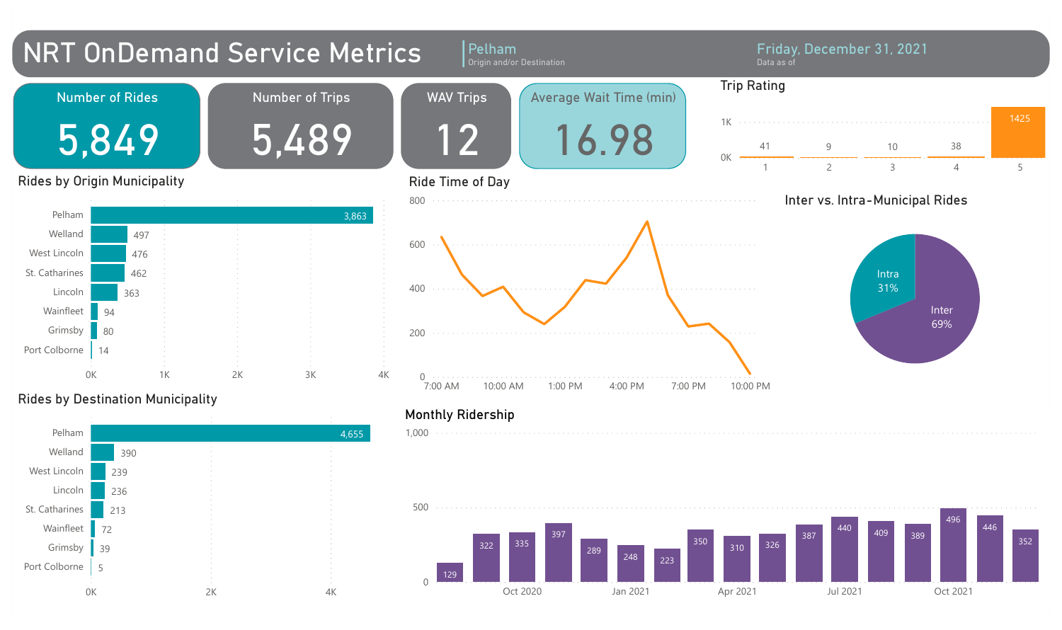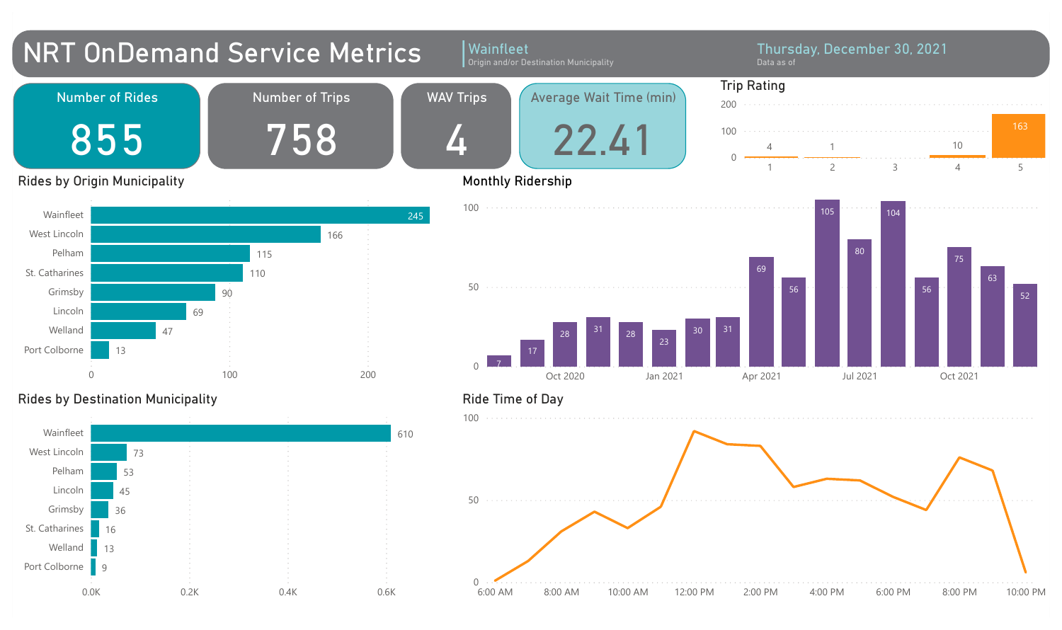